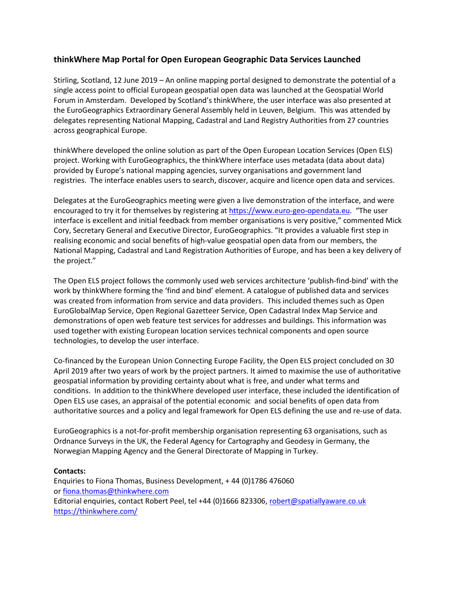## **thinkWhere Map Portal for Open European Geographic Data Services Launched**

Stirling, Scotland, 12 June 2019 – An online mapping portal designed to demonstrate the potential of a single access point to official European geospatial open data was launched at the Geospatial World Forum in Amsterdam. Developed by Scotland's thinkWhere, the user interface was also presented at the EuroGeographics Extraordinary General Assembly held in Leuven, Belgium. This was attended by delegates representing National Mapping, Cadastral and Land Registry Authorities from 27 countries across geographical Europe.

thinkWhere developed the online solution as part of the Open European Location Services (Open ELS) project. Working with EuroGeographics, the thinkWhere interface uses metadata (data about data) provided by Europe's national mapping agencies, survey organisations and government land registries. The interface enables users to search, discover, acquire and licence open data and services.

Delegates at the EuroGeographics meeting were given a live demonstration of the interface, and were encouraged to try it for themselves by registering at [https://www.euro-geo-opendata.eu.](https://www.euro-geo-opendata.eu/) "The user interface is excellent and initial feedback from member organisations is very positive," commented Mick Cory, Secretary General and Executive Director, EuroGeographics. "It provides a valuable first step in realising economic and social benefits of high-value geospatial open data from our members, the National Mapping, Cadastral and Land Registration Authorities of Europe, and has been a key delivery of the project."

The Open ELS project follows the commonly used web services architecture 'publish-find-bind' with the work by thinkWhere forming the 'find and bind' element. A catalogue of published data and services was created from information from service and data providers. This included themes such as Open EuroGlobalMap Service, Open Regional Gazetteer Service, Open Cadastral Index Map Service and demonstrations of open web feature test services for addresses and buildings. This information was used together with existing European location services technical components and open source technologies, to develop the user interface.

Co-financed by the European Union Connecting Europe Facility, the Open ELS project concluded on 30 April 2019 after two years of work by the project partners. It aimed to maximise the use of authoritative geospatial information by providing certainty about what is free, and under what terms and conditions. In addition to the thinkWhere developed user interface, these included the identification of Open ELS use cases, an appraisal of the potential economic and social benefits of open data from authoritative sources and a policy and legal framework for Open ELS defining the use and re-use of data.

EuroGeographics is a not-for-profit membership organisation representing 63 organisations, such as Ordnance Surveys in the UK, the Federal Agency for Cartography and Geodesy in Germany, the Norwegian Mapping Agency and the General Directorate of Mapping in Turkey.

## **Contacts:**

Enquiries to Fiona Thomas, Business Development, + 44 (0)1786 476060 or [fiona.thomas@thinkwhere.com](mailto:fiona.thomas@thinkwhere.com) Editorial enquiries, contact Robert Peel, tel +44 (0)1666 823306, [robert@spatiallyaware.co.uk](mailto:robert@spatiallyaware.co.uk) <https://thinkwhere.com/>